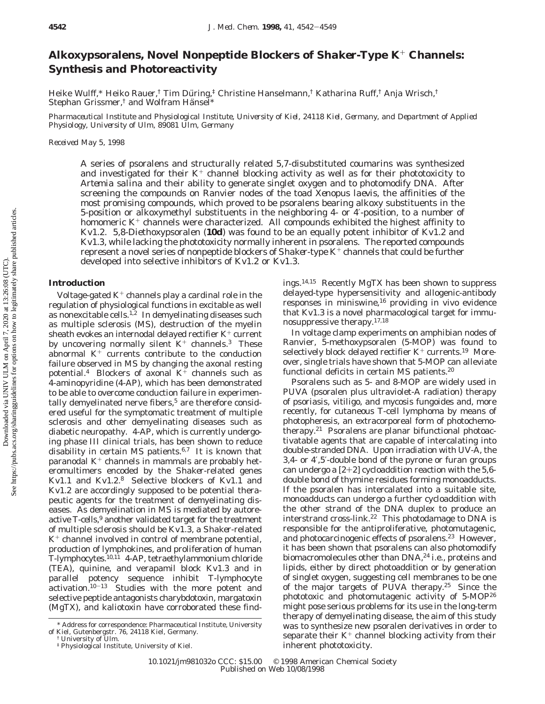# **Alkoxypsoralens, Novel Nonpeptide Blockers of** *Shaker***-Type K**<sup>+</sup> **Channels: Synthesis and Photoreactivity**

Heike Wulff,\* Heiko Rauer,† Tim Düring,‡ Christine Hanselmann,† Katharina Ruff,† Anja Wrisch,† Stephan Grissmer,<sup>†</sup> and Wolfram Hänsel\*

*Pharmaceutical Institute and Physiological Institute, University of Kiel, 24118 Kiel, Germany, and Department of Applied Physiology, University of Ulm, 89081 Ulm, Germany*

*Received May 5, 1998*

A series of psoralens and structurally related 5,7-disubstituted coumarins was synthesized and investigated for their  $K^+$  channel blocking activity as well as for their phototoxicity to *Artemia salina* and their ability to generate singlet oxygen and to photomodify DNA. After screening the compounds on Ranvier nodes of the toad *Xenopus laevis*, the affinities of the most promising compounds, which proved to be psoralens bearing alkoxy substituents in the 5-position or alkoxymethyl substituents in the neighboring 4- or 4′-position, to a number of homomeric  $K^+$  channels were characterized. All compounds exhibited the highest affinity to Kv1.2. 5,8-Diethoxypsoralen (**10d**) was found to be an equally potent inhibitor of Kv1.2 and Kv1.3, while lacking the phototoxicity normally inherent in psoralens. The reported compounds represent a novel series of nonpeptide blockers of *Shaker*-type K<sup>+</sup> channels that could be further developed into selective inhibitors of Kv1.2 or Kv1.3.

## **Introduction**

Voltage-gated  $K^+$  channels play a cardinal role in the regulation of physiological functions in excitable as well as nonexcitable cells.1,2 In demyelinating diseases such as multiple sclerosis (MS), destruction of the myelin sheath evokes an internodal delayed rectifier  $K^+$  current by uncovering normally silent  $K^+$  channels.<sup>3</sup> These abnormal  $K^+$  currents contribute to the conduction failure observed in MS by changing the axonal resting potential.<sup>4</sup> Blockers of axonal  $K^+$  channels such as 4-aminopyridine (4-AP), which has been demonstrated to be able to overcome conduction failure in experimentally demyelinated nerve fibers,<sup>5</sup> are therefore considered useful for the symptomatic treatment of multiple sclerosis and other demyelinating diseases such as diabetic neuropathy. 4-AP, which is currently undergoing phase III clinical trials, has been shown to reduce disability in certain MS patients. $6,7$  It is known that paranodal  $K^+$  channels in mammals are probably heteromultimers encoded by the *Shaker*-related genes Kv1.1 and Kv1.2.8 Selective blockers of Kv1.1 and Kv1.2 are accordingly supposed to be potential therapeutic agents for the treatment of demyelinating diseases. As demyelination in MS is mediated by autoreactive T-cells,<sup>9</sup> another validated target for the treatment of multiple sclerosis should be Kv1.3, a *Shaker-*related  $K^+$  channel involved in control of membrane potential, production of lymphokines, and proliferation of human T-lymphocytes.10,11 4-AP, tetraethylammonium chloride (TEA), quinine, and verapamil block Kv1.3 and in parallel potency sequence inhibit T-lymphocyte  $activation.<sup>10-13</sup>$  Studies with the more potent and selective peptide antagonists charybdotoxin, margatoxin (MgTX), and kaliotoxin have corroborated these findings.14,15 Recently MgTX has been shown to suppress delayed-type hypersensitivity and allogenic-antibody responses in miniswine, $16$  providing in vivo evidence that Kv1.3 is a novel pharmacological target for immunosuppressive therapy.17,18

In voltage clamp experiments on amphibian nodes of Ranvier, 5-methoxypsoralen (5-MOP) was found to selectively block delayed rectifier  $K^+$  currents.<sup>19</sup> Moreover, single trials have shown that 5-MOP can alleviate functional deficits in certain MS patients.20

Psoralens such as 5- and 8-MOP are widely used in PUVA (psoralen plus ultraviolet-A radiation) therapy of psoriasis, vitiligo, and mycosis fungoides and, more recently, for cutaneous T-cell lymphoma by means of photopheresis, an extracorporeal form of photochemotherapy.21 Psoralens are planar bifunctional photoactivatable agents that are capable of intercalating into double-stranded DNA. Upon irradiation with UV-A, the 3,4- or 4′,5′-double bond of the pyrone or furan groups can undergo a  $[2+2]$  cycloaddition reaction with the 5,6double bond of thymine residues forming monoadducts. If the psoralen has intercalated into a suitable site, monoadducts can undergo a further cycloaddition with the other strand of the DNA duplex to produce an interstrand cross-link.22 This photodamage to DNA is responsible for the antiproliferative, photomutagenic, and photocarcinogenic effects of psoralens.<sup>23</sup> However, it has been shown that psoralens can also photomodify biomacromolecules other than DNA,<sup>24</sup> i.e., proteins and lipids, either by direct photoaddition or by generation of singlet oxygen, suggesting cell membranes to be one of the major targets of PUVA therapy.25 Since the phototoxic and photomutagenic activity of 5-MOP26 might pose serious problems for its use in the long-term therapy of demyelinating disease, the aim of this study was to synthesize new psoralen derivatives in order to separate their  $K^+$  channel blocking activity from their inherent phototoxicity.

<sup>\*</sup> Address for correspondence: Pharmaceutical Institute, University of Kiel, Gutenbergstr. 76, 24118 Kiel, Germany.

<sup>†</sup> University of Ulm.

<sup>‡</sup> Physiological Institute, University of Kiel.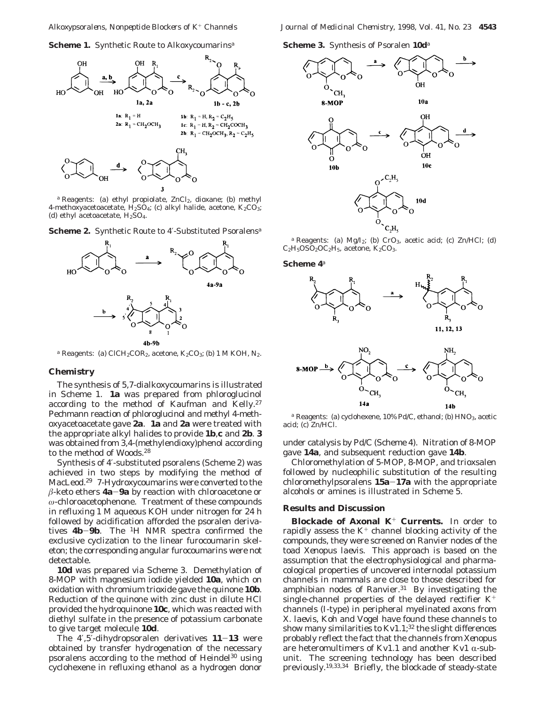



*a* Reagents: (a) ethyl propiolate, ZnCl<sub>2</sub>, dioxane; (b) methyl 4-methoxyacetoacetate,  $H_2SO_4$ ; (c) alkyl halide, acetone,  $K_2CO_3$ ; (d) ethyl acetoacetate,  $H<sub>2</sub>SO<sub>4</sub>$ .

**Scheme 2.** Synthetic Route to 4′-Substituted Psoralens*<sup>a</sup>*



 $a$  Reagents: (a) ClCH<sub>2</sub>COR<sub>2</sub>, acetone, K<sub>2</sub>CO<sub>3</sub>; (b) 1 M KOH, N<sub>2</sub>.

## **Chemistry**

The synthesis of 5,7-dialkoxycoumarins is illustrated in Scheme 1. **1a** was prepared from phloroglucinol according to the method of Kaufman and Kelly.<sup>27</sup> Pechmann reaction of phloroglucinol and methyl 4-methoxyacetoacetate gave **2a**. **1a** and **2a** were treated with the appropriate alkyl halides to provide **1b**,**c** and **2b**. **3** was obtained from 3,4-(methylendioxy)phenol according to the method of Woods.28

Synthesis of 4′-substituted psoralens (Scheme 2) was achieved in two steps by modifying the method of MacLeod.29 7-Hydroxycoumarins were converted to the  $\beta$ -keto ethers **4a-9a** by reaction with chloroacetone or *ω*-chloroacetophenone. Treatment of these compounds in refluxing 1 M aqueous KOH under nitrogen for 24 h followed by acidification afforded the psoralen derivatives **4b**-**9b**. The 1H NMR spectra confirmed the exclusive cyclization to the linear furocoumarin skeleton; the corresponding angular furocoumarins were not detectable.

**10d** was prepared via Scheme 3. Demethylation of 8-MOP with magnesium iodide yielded **10a**, which on oxidation with chromium trioxide gave the quinone **10b**. Reduction of the quinone with zinc dust in dilute HCl provided the hydroquinone **10c**, which was reacted with diethyl sulfate in the presence of potassium carbonate to give target molecule **10d**.

The 4′,5′-dihydropsoralen derivatives **<sup>11</sup>**-**<sup>13</sup>** were obtained by transfer hydrogenation of the necessary psoralens according to the method of Heindel<sup>30</sup> using cyclohexene in refluxing ethanol as a hydrogen donor





 $a$  Reagents: (a) Mg/I<sub>2</sub>; (b) CrO<sub>3</sub>, acetic acid; (c) Zn/HCl; (d)  $C_2H_5OSO_2OC_2H_5$ , acetone,  $K_2CO_3$ .

**Scheme 4***<sup>a</sup>*





*a* Reagents: (a) cyclohexene, 10% Pd/C, ethanol; (b) HNO<sub>3</sub>, acetic acid; (c) Zn/HCl.

under catalysis by Pd/C (Scheme 4). Nitration of 8-MOP gave **14a**, and subsequent reduction gave **14b**.

Chloromethylation of 5-MOP, 8-MOP, and trioxsalen followed by nucleophilic substitution of the resulting chloromethylpsoralens **15a**-**17a** with the appropriate alcohols or amines is illustrated in Scheme 5.

### **Results and Discussion**

**Blockade of Axonal K**<sup>+</sup> **Currents.** In order to rapidly assess the  $K^+$  channel blocking activity of the compounds, they were screened on Ranvier nodes of the toad *Xenopus laevis*. This approach is based on the assumption that the electrophysiological and pharmacological properties of uncovered internodal potassium channels in mammals are close to those described for amphibian nodes of Ranvier. $31$  By investigating the single-channel properties of the delayed rectifier  $K^+$ channels (I-type) in peripheral myelinated axons from *X. laevis*, Koh and Vogel have found these channels to show many similarities to Kv1.1;<sup>32</sup> the slight differences probably reflect the fact that the channels from *Xenopus* are heteromultimers of Kv1.1 and another Kv1  $\alpha$ -subunit. The screening technology has been described previously.19,33,34 Briefly, the blockade of steady-state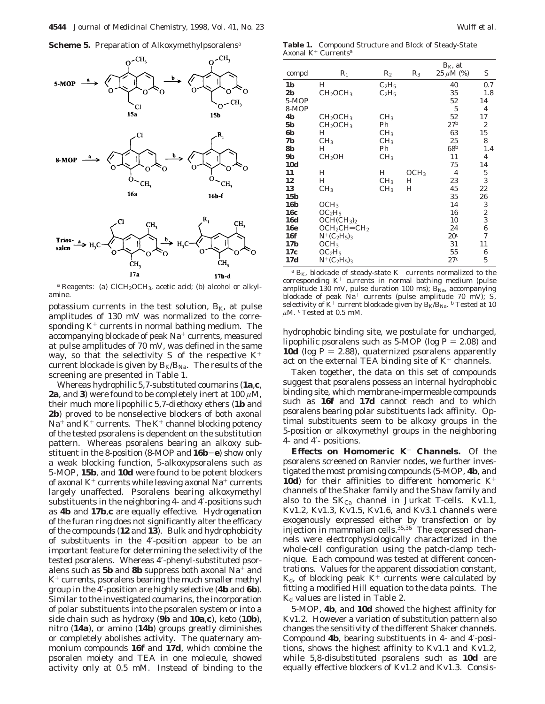



*<sup>a</sup>* Reagents: (a) ClCH2OCH3, acetic acid; (b) alcohol or alkylamine.

potassium currents in the test solution,  $B_K$ , at pulse amplitudes of 130 mV was normalized to the corresponding  $K^+$  currents in normal bathing medium. The accompanying blockade of peak Na<sup>+</sup> currents, measured at pulse amplitudes of 70 mV, was defined in the same way, so that the selectivity *S* of the respective  $K^+$ current blockade is given by  $B_K/B_{\text{Na}}$ . The results of the screening are presented in Table 1.

Whereas hydrophilic 5,7-substituted coumarins (**1a**,**c**, **2a**, and **3**) were found to be completely inert at 100  $\mu$ M, their much more lipophilic 5,7-diethoxy ethers (**1b** and **2b**) proved to be nonselective blockers of both axonal  $Na<sup>+</sup>$  and  $K<sup>+</sup>$  currents. The  $K<sup>+</sup>$  channel blocking potency of the tested psoralens is dependent on the substitution pattern. Whereas psoralens bearing an alkoxy substituent in the 8-position (8-MOP and **16b**-**e**) show only a weak blocking function, 5-alkoxypsoralens such as 5-MOP, **15b**, and **10d** were found to be potent blockers of axonal  $K^+$  currents while leaving axonal  $Na^+$  currents largely unaffected. Psoralens bearing alkoxymethyl substituents in the neighboring 4- and 4′-positions such as **4b** and **17b**,**c** are equally effective. Hydrogenation of the furan ring does not significantly alter the efficacy of the compounds (**12** and **13**). Bulk and hydrophobicity of substituents in the 4′-position appear to be an important feature for determining the selectivity of the tested psoralens. Whereas 4′-phenyl-substituted psoralens such as **5b** and **8b** suppress both axonal Na<sup>+</sup> and  $K^+$  currents, psoralens bearing the much smaller methyl group in the 4′-position are highly selective (**4b** and **6b**). Similar to the investigated coumarins, the incorporation of polar substituents into the psoralen system or into a side chain such as hydroxy (**9b** and **10a**,**c**), keto (**10b**), nitro (**14a**), or amino (**14b**) groups greatly diminishes or completely abolishes activity. The quaternary ammonium compounds **16f** and **17d**, which combine the psoralen moiety and TEA in one molecule, showed activity only at 0.5 mM. Instead of binding to the

**Table 1.** Compound Structure and Block of Steady-State Axonal K+ Currents*<sup>a</sup>*

|                 |                                    |                 |                  | $B_{K}$ , at    |                |
|-----------------|------------------------------------|-----------------|------------------|-----------------|----------------|
| compd           | $R_1$                              | $\rm R_2$       | $R_3$            | $25 \mu M$ (%)  | S              |
| 1 <sub>b</sub>  | H                                  | $C_2H_5$        |                  | 40              | 0.7            |
| 2 <sub>b</sub>  | CH <sub>2</sub> OCH <sub>3</sub>   | $C_2H_5$        |                  | 35              | 1.8            |
| 5-MOP           |                                    |                 |                  | 52              | 14             |
| 8-MOP           |                                    |                 |                  | 5               | 4              |
| 4b              | CH <sub>2</sub> OCH <sub>3</sub>   | CH <sub>3</sub> |                  | 52              | 17             |
| <b>5b</b>       | CH <sub>2</sub> OCH <sub>3</sub>   | Ph              |                  | 27 <sup>b</sup> | 2              |
| 6b              | Н                                  | CH <sub>3</sub> |                  | 63              | 15             |
| 7Ь              | CH <sub>3</sub>                    | CH <sub>3</sub> |                  | 25              | 8              |
| 8b              | Н                                  | Ph              |                  | $68^b$          | 1.4            |
| 9b              | CH <sub>2</sub> OH                 | CH <sub>3</sub> |                  | 11              | $\overline{4}$ |
| <b>10d</b>      |                                    |                 |                  | 75              | 14             |
| 11              | Н                                  | Н               | OCH <sub>3</sub> | 4               | 5              |
| 12              | Н                                  | CH <sub>3</sub> | Н                | 23              | 3              |
| 13              | CH <sub>3</sub>                    | CH <sub>3</sub> | H                | 45              | 22             |
| 15 <sub>b</sub> |                                    |                 |                  | 35              | 26             |
| <b>16b</b>      | OCH <sub>3</sub>                   |                 |                  | 14              | 3              |
| 16c             | OC <sub>2</sub> H <sub>5</sub>     |                 |                  | 16              | 2              |
| <b>16d</b>      | OCH(CH <sub>3</sub> ) <sub>2</sub> |                 |                  | 10              | 3              |
| <b>16e</b>      | $OCH2CH=CH2$                       |                 |                  | 24              | 6              |
| <b>16f</b>      | $N^+(C_2H_5)_3$                    |                 |                  | 20 <sup>c</sup> | 7              |
| 17 <b>b</b>     | OCH <sub>3</sub>                   |                 |                  | 31              | 11             |
| 17c             | OC <sub>2</sub> H <sub>5</sub>     |                 |                  | 55              | 6              |
| 17d             | $N^+(C_2H_5)_3$                    |                 |                  | 27c             | 5              |

 $a$   $B_{K}$ , blockade of steady-state  $K^{+}$  currents normalized to the corresponding  $K^+$  currents in normal bathing medium (pulse amplitude 130 mV, pulse duration 100 ms);  $B_{\text{Na}}$ , accompanying blockade of peak Na<sup>+</sup> currents (pulse amplitude 70 mV); *S*, selectivity of  $K^+$  current blockade given by  $B_K/B_{\text{Na}}$ . *b* Tested at 10  $\mu$ M.  $^c$  Tested at 0.5 mM.

hydrophobic binding site, we postulate for uncharged, lipophilic psoralens such as 5-MOP (log  $P = 2.08$ ) and **10d** (log  $P = 2.88$ ), quaternized psoralens apparently act on the external TEA binding site of  $K^+$  channels.

Taken together, the data on this set of compounds suggest that psoralens possess an internal hydrophobic binding site, which membrane-impermeable compounds such as **16f** and **17d** cannot reach and to which psoralens bearing polar substituents lack affinity. Optimal substituents seem to be alkoxy groups in the 5-position or alkoxymethyl groups in the neighboring 4- and 4′- positions.

**Effects on Homomeric K**<sup>+</sup> **Channels.** Of the psoralens screened on Ranvier nodes, we further investigated the most promising compounds (5-MOP, **4b**, and **10d**) for their affinities to different homomeric  $K^+$ channels of the *Shaker* family and the *Shaw* family and also to the  $SK_{Ca}$  channel in Jurkat T-cells. Kv1.1, Kv1.2, Kv1.3, Kv1.5, Kv1.6, and Kv3.1 channels were exogenously expressed either by transfection or by injection in mammalian cells. $35,36$  The expressed channels were electrophysiologically characterized in the whole-cell configuration using the patch-clamp technique. Each compound was tested at different concentrations. Values for the apparent dissociation constant,  $K_{d}$ , of blocking peak  $K^{+}$  currents were calculated by fitting a modified Hill equation to the data points. The  $K_d$  values are listed in Table 2.

5-MOP, **4b**, and **10d** showed the highest affinity for Kv1.2. However a variation of substitution pattern also changes the sensitivity of the different *Shaker* channels. Compound **4b**, bearing substituents in 4- and 4′-positions, shows the highest affinity to Kv1.1 and Kv1.2, while 5,8-disubstituted psoralens such as **10d** are equally effective blockers of Kv1.2 and Kv1.3. Consis-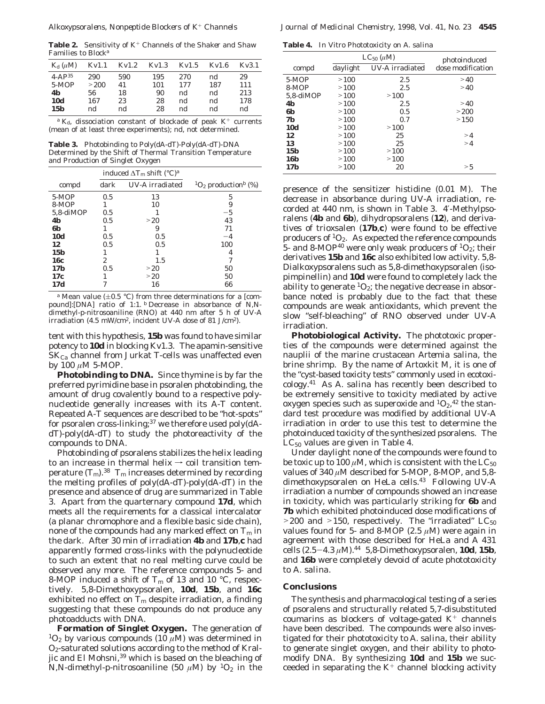**Table 2.** Sensitivity of K<sup>+</sup> Channels of the *Shaker* and *Shaw* Families to Block*<sup>a</sup>*

| $K_{d}(\mu M)$ | Kv1.1      | Kv1.2    | Kv1.3     | Kv1.5     | Kv1.6     | Kv3.1      |
|----------------|------------|----------|-----------|-----------|-----------|------------|
| $4 - AP35$     | 290        | 590      | 195       | 270       | nd        | 29         |
| $5-MOP$<br>4b  | >200<br>56 | 41<br>18 | 101<br>90 | 177<br>nd | 187<br>nd | 111<br>213 |
| <b>10d</b>     | 167        | 23       | 28        | nd        | nd        | 178        |
| 15b            | nd         | nd       | 28        | nd        | nd        | nd         |

*<sup>a</sup> K*d, dissociation constant of blockade of peak K<sup>+</sup> currents (mean of at least three experiments); nd, not determined.

**Table 3.** Photobinding to Poly(dA-dT)-Poly(dA-dT)-DNA Determined by the Shift of Thermal Transition Temperature and Production of Singlet Oxygen

|             |      | induced $\Delta T_{\rm m}$ shift (°C) <sup>a</sup> |                                           |
|-------------|------|----------------------------------------------------|-------------------------------------------|
| compd       | dark | UV-A irradiated                                    | ${}^{1}O_{2}$ production <sup>b</sup> (%) |
| $5-MOP$     | 0.5  | 13                                                 | 5                                         |
| 8-MOP       |      | 10                                                 | 9                                         |
| 5,8-diMOP   | 0.5  |                                                    | $-5$                                      |
| 4b          | 0.5  | >20                                                | 43                                        |
| 6b          |      | 9                                                  | 71                                        |
| <b>10d</b>  | 0.5  | 0.5                                                | $-4$                                      |
| 12          | 0.5  | 0.5                                                | 100                                       |
| 15b         |      |                                                    | 4                                         |
| 16c         | 2    | 1.5                                                |                                           |
| 17 <b>b</b> | 0.5  | >20                                                | 50                                        |
| 17c         |      | >20                                                | 50                                        |
| 17d         |      | 16                                                 | 66                                        |

<sup>a</sup> Mean value ( $\pm$ 0.5 °C) from three determinations for a [compound]:[DNA] ratio of 1:1. *<sup>b</sup>* Decrease in absorbance of *N*,*N*dimethyl-*p*-nitrosoaniline (RNO) at 440 nm after 5 h of UV-A irradiation (4.5 mW/cm<sup>2</sup>, incident UV-A dose of 81 J/cm<sup>2</sup>).

tent with this hypothesis, **15b** was found to have similar potency to **10d** in blocking Kv1.3. The apamin-sensitive  $SK_{Ca}$  channel from Jurkat T-cells was unaffected even by 100 *µ*M 5-MOP.

**Photobinding to DNA.** Since thymine is by far the preferred pyrimidine base in psoralen photobinding, the amount of drug covalently bound to a respective polynucleotide generally increases with its A-T content. Repeated A-T sequences are described to be "hot-spots" for psoralen cross-linking;<sup>37</sup> we therefore used poly(dAdT)-poly(dA-dT) to study the photoreactivity of the compounds to DNA.

Photobinding of psoralens stabilizes the helix leading to an increase in thermal helix  $\rightarrow$  coil transition temperature  $(T_m)$ .<sup>38</sup>  $T_m$  increases determined by recording the melting profiles of poly(dA-dT)-poly(dA-dT) in the presence and absence of drug are summarized in Table 3. Apart from the quarternary compound **17d**, which meets all the requirements for a classical intercalator (a planar chromophore and a flexible basic side chain), none of the compounds had any marked effect on  $T<sub>m</sub>$  in the dark. After 30 min of irradiation **4b** and **17b**,**c** had apparently formed cross-links with the polynucleotide to such an extent that no real melting curve could be observed any more. The reference compounds 5- and 8-MOP induced a shift of  $T_m$  of 13 and 10 °C, respectively. 5,8-Dimethoxypsoralen, **10d**, **15b**, and **16c** exhibited no effect on  $T_m$  despite irradiation, a finding suggesting that these compounds do not produce any photoadducts with DNA.

**Formation of Singlet Oxygen.** The generation of  $1O_2$  by various compounds (10  $\mu$ M) was determined in O2-saturated solutions according to the method of Kraljic and El Mohsni,<sup>39</sup> which is based on the bleaching of *N*,*N*-dimethyl-*p*-nitrosoaniline (50  $\mu$ M) by <sup>1</sup>O<sub>2</sub> in the

**Table 4.** In Vitro Phototoxicity on *A. salina*

|             |          | $LC_{50}$ ( $\mu$ M) | photoinduced      |
|-------------|----------|----------------------|-------------------|
| compd       | daylight | UV-A irradiated      | dose modification |
| $5-MOP$     | >100     | 2.5                  | >40               |
| 8-MOP       | >100     | 2.5                  | >40               |
| 5,8-diMOP   | >100     | >100                 |                   |
| 4b          | >100     | 2.5                  | >40               |
| 6b          | >100     | 0.5                  | >200              |
| 7b          | >100     | 0.7                  | >150              |
| <b>10d</b>  | >100     | >100                 |                   |
| 12          | >100     | 25                   | >4                |
| 13          | >100     | 25                   | >4                |
| 15b         | >100     | >100                 |                   |
| 16 <b>b</b> | >100     | >100                 |                   |
| 17 <b>b</b> | >100     | 20                   | > 5               |

presence of the sensitizer histidine (0.01 M). The decrease in absorbance during UV-A irradiation, recorded at 440 nm, is shown in Table 3. 4′-Methylpsoralens (**4b** and **6b**), dihydropsoralens (**12**), and derivatives of trioxsalen (**17b**,**c**) were found to be effective producers of  ${}^{1}O_{2}$ . As expected the reference compounds 5- and 8-MOP<sup>40</sup> were only weak producers of  ${}^{1}O_{2}$ ; their derivatives **15b** and **16c** also exhibited low activity. 5,8- Dialkoxypsoralens such as 5,8-dimethoxypsoralen (isopimpinellin) and **10d** were found to completely lack the ability to generate  ${}^{1}O_{2}$ ; the negative decrease in absorbance noted is probably due to the fact that these compounds are weak antioxidants, which prevent the slow "self-bleaching" of RNO observed under UV-A irradiation.

**Photobiological Activity.** The phototoxic properties of the compounds were determined against the nauplii of the marine crustacean *Artemia salina*, the brine shrimp. By the name of Artoxkit M, it is one of the "cyst-based toxicity tests" commonly used in ecotoxicology.41 As *A. salina* has recently been described to be extremely sensitive to toxicity mediated by active oxygen species such as superoxide and  ${}^{1}O_{2}$ ,  ${}^{42}$  the standard test procedure was modified by additional UV-A irradiation in order to use this test to determine the photoinduced toxicity of the synthesized psoralens. The  $LC_{50}$  values are given in Table 4.

Under daylight none of the compounds were found to be toxic up to 100  $\mu$ M, which is consistent with the LC<sub>50</sub> values of 340  $\mu$ M described for 5-MOP, 8-MOP, and 5,8dimethoxypsoralen on HeLa cells.<sup>43</sup> Following UV-A irradiation a number of compounds showed an increase in toxicity, which was particularly striking for **6b** and **7b** which exhibited photoinduced dose modifications of  $>$  200 and  $>$  150, respectively. The "irradiated" LC<sub>50</sub> values found for 5- and 8-MOP (2.5  $\mu$ M) were again in agreement with those described for HeLa and A 431 cells (2.5-4.3 *<sup>µ</sup>*M).44 5,8-Dimethoxypsoralen, **10d**, **15b**, and **16b** were completely devoid of acute phototoxicity to *A. salina*.

## **Conclusions**

The synthesis and pharmacological testing of a series of psoralens and structurally related 5,7-disubstituted coumarins as blockers of voltage-gated  $K^+$  channels have been described. The compounds were also investigated for their phototoxicity to *A. salina*, their ability to generate singlet oxygen, and their ability to photomodify DNA. By synthesizing **10d** and **15b** we succeeded in separating the  $K^+$  channel blocking activity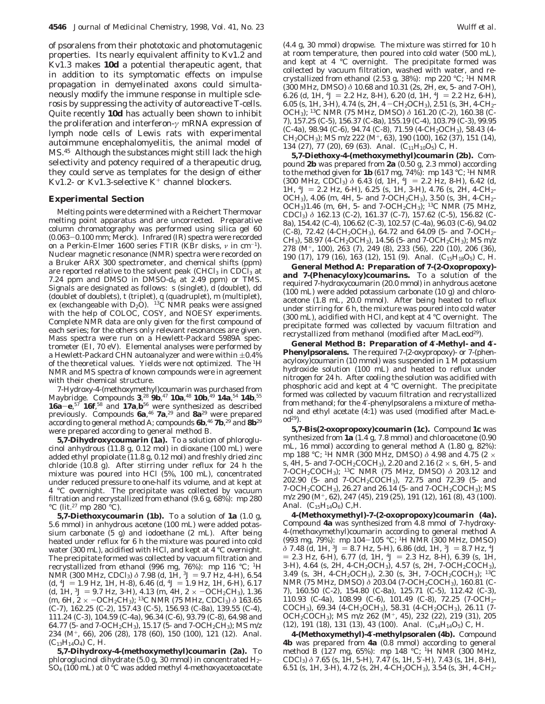of psoralens from their phototoxic and photomutagenic properties. Its nearly equivalent affinity to Kv1.2 and Kv1.3 makes **10d** a potential therapeutic agent, that in addition to its symptomatic effects on impulse propagation in demyelinated axons could simultaneously modify the immune response in multiple sclerosis by suppressing the activity of autoreactive T-cells. Quite recently **10d** has actually been shown to inhibit the proliferation and interferon-*γ* mRNA expression of lymph node cells of Lewis rats with experimental autoimmune encephalomyelitis, the animal model of MS.45 Although the substances might still lack the high selectivity and potency required of a therapeutic drug, they could serve as templates for the design of either Kv1.2- or Kv1.3-selective  $K^+$  channel blockers.

## **Experimental Section**

Melting points were determined with a Reichert Thermovar melting point apparatus and are uncorrected. Preparative column chromatography was performed using silica gel 60 (0.063-0.100 mm; Merck). Infrared (IR) spectra were recorded on a Perkin-Elmer 1600 series FTIR (KBr disks, *ν* in cm-1). Nuclear magnetic resonance (NMR) spectra were recorded on a Bruker ARX 300 spectrometer, and chemical shifts (ppm) are reported relative to the solvent peak (CHCl $_3$  in CDCl $_3$  at 7.24 ppm and DMSO in DMSO- $d_6$  at 2.49 ppm) or TMS. Signals are designated as follows: s (singlet), d (doublet), dd (doublet of doublets), t (triplet), q (quadruplet), m (multiplet), ex (exchangeable with  $D_2O$ ). <sup>13</sup>C NMR peaks were assigned with the help of COLOC, COSY, and NOESY experiments. Complete NMR data are only given for the first compound of each series; for the others only relevant resonances are given. Mass spectra were run on a Hewlett-Packard 5989A spectrometer (EI, 70 eV). Elemental analyses were performed by a Hewlett-Packard CHN autoanalyzer and were within  $\pm 0.4\%$ of the theoretical values. Yields were not optimized. The <sup>1</sup>H NMR and MS spectra of known compounds were in agreement with their chemical structure.

7-Hydroxy-4-(methoxymethyl)coumarin was purchased from Maybridge. Compounds **3**, <sup>28</sup> **9b**, <sup>47</sup> **10a**, <sup>48</sup> **10b**, <sup>49</sup> **14a**, <sup>54</sup> **14b**, 55 **16a**-**e**, <sup>57</sup> **16f**, <sup>58</sup> and **17a**,**b**<sup>56</sup> were synthesized as described previously. Compounds **6a**, <sup>46</sup> **7a**, <sup>29</sup> and **8a**<sup>29</sup> were prepared according to general method A; compounds **6b**, <sup>46</sup> **7b**, <sup>29</sup> and **8b**<sup>29</sup> were prepared according to general method B.

**5,7-Dihydroxycoumarin (1a).** To a solution of phloroglucinol anhydrous (11.8 g, 0.12 mol) in dioxane (100 mL) were added ethyl propiolate (11.8 g, 0.12 mol) and freshly dried zinc chloride (10.8 g). After stirring under reflux for 24 h the mixture was poured into HCl (5%, 100 mL), concentrated under reduced pressure to one-half its volume, and at kept at 4 °C overnight. The precipitate was collected by vacuum filtration and recrystallized from ethanol (9.6 g, 68%): mp 280  $^{\circ}\textrm{C}$  (lit.<br>27 mp 280  $^{\circ}\textrm{C}$  ).

**5,7-Diethoxycoumarin (1b).** To a solution of **1a** (1.0 g, 5.6 mmol) in anhydrous acetone (100 mL) were added potassium carbonate (5 g) and iodoethane (2 mL). After being heated under reflux for 6 h the mixture was poured into cold water (300 mL), acidified with HCl, and kept at 4 °C overnight. The precipitate formed was collected by vacuum filtration and recrystallized from ethanol (996 mg, 76%): mp 116 °C; 1H NMR (300 MHz, CDCl<sub>3</sub>) *δ* 7.98 (d, 1H, <sup>3</sup>J = 9.7 Hz, 4-H), 6.54  $(d, {}^4J = 1.9$  Hz, 1H, H-8), 6.46  $(d, {}^4J = 1.9$  Hz, 1H, 6-H), 6.17 (d, 1H,  ${}^{3}J = 9.7$  Hz, 3-H), 4.13 (m, 4H, 2  $\times$  -OC*H*<sub>2</sub>CH<sub>3</sub>), 1.36 (m, 6H, 2 <sup>×</sup> -OCH2C*H*3); 13C NMR (75 MHz, CDCl3) *<sup>δ</sup>* 163.65 (C-7), 162.25 (C-2), 157.43 (C-5), 156.93 (C-8a), 139.55 (C-4), 111.24 (C-3), 104.59 (C-4a), 96.34 (C-6), 93.79 (C-8), 64.98 and 64.77 (5- and 7-O*C*H2CH3), 15.17 (5- and 7-OCH2*C*H3); MS *m*/*z* 234 (M+, 66), 206 (28), 178 (60), 150 (100), 121 (12). Anal.  $(C_{13}H_{14}O_4)$  C, H.

**5,7-Dihydroxy-4-(methoxymethyl)coumarin (2a).** To phloroglucinol dihydrate  $(5.0 \text{ g}, 30 \text{ mmol})$  in concentrated  $H_2$ - $\overline{SO}_4$  (100 mL) at 0 °C was added methyl 4-methoxyacetoacetate (4.4 g, 30 mmol) dropwise. The mixture was stirred for 10 h at room temperature, then poured into cold water (500 mL), and kept at 4 °C overnight. The precipitate formed was collected by vacuum filtration, washed with water, and recrystallized from ethanol (2.53 g, 38%): mp 220 °C; <sup>1</sup>H NMR (300 MHz, DMSO) *δ* 10.68 and 10.31 (2s, 2H, ex, 5- and 7-OH), 6.26 (d, 1H,  $^4J = 2.2$  Hz, 8-H), 6.20 (d, 1H,  $^4J = 2.2$  Hz, 6-H), 6.05 (s, 1H, 3-H), 4.74 (s, 2H, 4 – CH<sub>2</sub>OCH<sub>3</sub>), 2.51 (s, 3H, 4-CH<sub>2</sub>-OC*H*3); 13C NMR (75 MHz, DMSO) *δ* 161.20 (C-2), 160.38 (C-7), 157.25 (C-5), 156.37 (C-8a), 155.19 (C-4), 103.79 (C-3), 99.95 (C-4a), 98.94 (C-6), 94.74 (C-8), 71.59 (4-*C*H2OCH3), 58.43 (4- CH2O*C*H3); MS *m*/*z* 222 (M+, 63), 190 (100), 162 (37), 151 (14), 134 (27), 77 (20), 69 (63). Anal.  $(C_{11}H_{10}O_5)$  C, H.

**5,7-Diethoxy-4-(methoxymethyl)coumarin (2b).** Compound **2b** was prepared from **2a** (0.50 g, 2.3 mmol) according to the method given for **1b** (617 mg, 74%): mp 143 °C; <sup>1</sup>H NMR  $(300 \text{ MHz}, \text{CDC1}_3) \delta 6.43 \text{ (d, 1H)}^4$ ,  $^4J = 2.2 \text{ Hz}$ , 8-H), 6.42 (d, 1H,  ${}^4J = 2.2$  Hz, 6-H), 6.25 (s, 1H, 3-H), 4.76 (s, 2H, 4-CH<sub>2</sub>-OCH<sub>3</sub>), 4.06 (m, 4H, 5- and 7-OCH<sub>2</sub>CH<sub>3</sub>), 3.50 (s, 3H, 4-CH<sub>2</sub>-OC*H*3)1.46 (m, 6H, 5- and 7-OCH2C*H*3); 13C NMR (75 MHz, CDCl3) *δ* 162.13 (C-2), 161.37 (C-7), 157.62 (C-5), 156.82 (C-8a), 154.42 (C-4), 106.62 (C-3), 102.57 (C-4a), 96.03 (C-6), 94.02 (C-8), 72.42 (4-CH<sub>2</sub>OCH<sub>3</sub>), 64.72 and 64.09 (5- and 7-OCH<sub>2</sub>-CH3), 58.97 (4-CH2O*C*H3), 14.56 (5- and 7-OCH2*C*H3); MS *m*/*z* 278 (M+, 100), 263 (7), 249 (8), 233 (56), 220 (10), 206 (36), 190 (17), 179 (16), 163 (12), 151 (9). Anal. (C<sub>15</sub>H<sub>18</sub>O<sub>5</sub>) C, H.

**General Method A: Preparation of 7-(2-Oxopropoxy) and 7-(Phenacyloxy)coumarins.** To a solution of the required 7-hydroxycoumarin (20.0 mmol) in anhydrous acetone (100 mL) were added potassium carbonate (10 g) and chloroacetone (1.8 mL, 20.0 mmol). After being heated to reflux under stirring for 6 h, the mixture was poured into cold water (300 mL), acidified with HCl, and kept at 4 °C overnight. The precipitate formed was collected by vacuum filtration and recrystallized from methanol (modified after MacLeod<sup>29</sup>).

**General Method B: Preparation of 4**′**-Methyl- and 4**′**- Phenylpsoralens.** The required 7-(2-oxypropoxy)- or 7-(phenacyloxy)coumarin (10 mmol) was suspended in 1 M potassium hydroxide solution (100 mL) and heated to reflux under nitrogen for 24 h. After cooling the solution was acidified with phosphoric acid and kept at 4 °C overnight. The precipitate formed was collected by vacuum filtration and recrystallized from methanol; for the 4′-phenylpsoralens a mixture of methanol and ethyl acetate (4:1) was used (modified after MacLeod29).

**5,7-Bis(2-oxopropoxy)coumarin (1c).** Compound **1c** was synthesized from **1a** (1.4 g, 7.8 mmol) and chloroacetone (0.90 mL, 16 mmol) according to general method A (1.80 g, 82%): mp 188 °C; <sup>1</sup>H NMR (300 MHz, DMSO)  $\delta$  4.98 and 4.75 (2 × s, 4H, 5- and 7-OC*H*<sub>2</sub>COCH<sub>3</sub>), 2.20 and 2.16 (2 × s, 6H, 5- and 7-OCH2COC*H*3); 13C NMR (75 MHz, DMSO) *δ* 203.12 and 202.90 (5- and 7-OCH2*C*OCH3), 72.75 and 72.39 (5- and 7-O*C*H2COCH3), 26.27 and 26.14 (5- and 7-OCH2CO*C*H3); MS *m*/*z* 290 (M+, 62), 247 (45), 219 (25), 191 (12), 161 (8), 43 (100). Anal.  $(C_{15}H_{14}O_6)$  C, H.

**4-(Methoxymethyl)-7-(2-oxopropoxy)coumarin (4a).** Compound **4a** was synthesized from 4.8 mmol of 7-hydroxy-4-(methoxymethyl)coumarin according to general method A (993 mg, 79%): mp 104-105 °C; 1H NMR (300 MHz, DMSO) *δ* 7.48 (d, 1H, <sup>3</sup>*J* = 8.7 Hz, 5-H), 6.86 (dd, 1H, <sup>3</sup>*J* = 8.7 Hz, <sup>4</sup>*J*  $= 2.3$  Hz, 6-H), 6.77 (d, 1H,  $4J = 2.3$  Hz, 8-H), 6.39 (s, 1H, 3-H), 4.64 (s, 2H, 4-C*H*2OCH3), 4.57 (s, 2H, 7-OC*H*2COCH3), 3.49 (s, 3H, 4-CH2OC*H*3), 2.30 (s, 3H, 7-OCH2COC*H*3); 13C NMR (75 MHz, DMSO)  $\delta$  203.04 (7-OCH<sub>2</sub>COCH<sub>3</sub>), 160.81 (C-7), 160.50 (C-2), 154.80 (C-8a), 125.71 (C-5), 112.42 (C-3), 110.93 (C-4a), 108.99 (C-6), 101.49 (C-8), 72.25 (7-O*C*H2- COCH3), 69.34 (4-*C*H2OCH3), 58.31 (4-CH2O*C*H3), 26.11 (7- OCH2CO*C*H3); MS *m*/*z* 262 (M+, 45), 232 (22), 219 (31), 205 (12), 191 (18), 131 (13), 43 (100). Anal. (C14H14O5) C, H.

**4-(Methoxymethyl)-4**′**-methylpsoralen (4b).** Compound **4b** was prepared from **4a** (0.8 mmol) according to general method B (127 mg, 65%): mp 148 °C; <sup>1</sup>H NMR (300 MHz, CDCl3) *δ* 7.65 (s, 1H, 5-H), 7.47 (s, 1H, 5′-H), 7.43 (s, 1H, 8-H), 6.51 (s, 1H, 3-H), 4.72 (s, 2H, 4-C*H*2OCH3), 3.54 (s, 3H, 4-CH2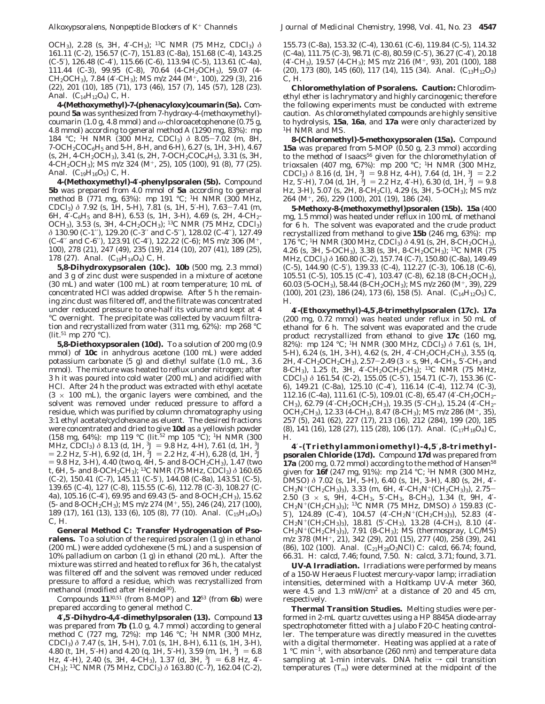OC*H*3), 2.28 (s, 3H, 4′-C*H*3); 13C NMR (75 MHz, CDCl3) *δ* 161.11 (C-2), 156.57 (C-7), 151.83 (C-8a), 151.68 (C-4), 143.25 (C-5′), 126.48 (C-4′), 115.66 (C-6), 113.94 (C-5), 113.61 (C-4a), 111.44 (C-3), 99.95 (C-8), 70.64 (4-*C*H2OCH3), 59.07 (4- CH2O*C*H3), 7.84 (4′-*C*H3); MS *m*/*z* 244 (M+, 100), 229 (3), 216 (22), 201 (10), 185 (71), 173 (46), 157 (7), 145 (57), 128 (23). Anal.  $(C_{14}H_{12}O_4)$  C, H.

**4-(Methoxymethyl)-7-(phenacyloxy)coumarin(5a).** Compound **5a** was synthesized from 7-hydroxy-4-(methoxymethyl) coumarin (1.0 g, 4.8 mmol) and *ω*-chloroacetophenone (0.75 g, 4.8 mmol) according to general method A (1290 mg, 83%): mp 184 °C; 1H NMR (300 MHz, CDCl3) *<sup>δ</sup>* 8.05-7.02 (m, 8H, 7-OCH2COC6*H*<sup>5</sup> and 5-H, 8-H, and 6-H), 6.27 (s, 1H, 3-H), 4.67  $(s, 2H, 4\text{-}CH_2OCH_3)$ , 3.41  $(s, 2H, 7\text{-}OCH_2COC_6H_5)$ , 3.31  $(s, 3H, 3H)$ 4-CH2OC*H*3); MS *m*/*z* 324 (M+, 25), 105 (100), 91 (8), 77 (25). Anal.  $(C_{19}H_{16}O_5)$  C, H.

**4-(Methoxymethyl)-4**′**-phenylpsoralen (5b).** Compound **5b** was prepared from 4.0 mmol of **5a** according to general method B (771 mg, 63%): mp 191 °C; <sup>1</sup>H NMR (300 MHz, CDCl3) *<sup>δ</sup>* 7.92 (s, 1H, 5-H), 7.81 (s, 1H, 5′-H), 7.63-7.41 (m, 6H, 4′-C6*H*<sup>5</sup> and 8-H), 6.53 (s, 1H, 3-H), 4.69 (s, 2H, 4-C*H*2- OCH3), 3.53 (s, 3H, 4-CH2OC*H*3); 13C NMR (75 MHz, CDCl3) *δ* 130.90 (C-1′′), 129.20 (C-3′′ and C-5′′), 128.02 (C-4′′), 127.49 (C-4′′ and C-6′′), 123.91 (C-4′), 122.22 (C-6); MS *m*/*z* 306 (M+, 100), 278 (21), 247 (49), 235 (19), 214 (10), 207 (41), 189 (25), 178 (27). Anal.  $(C_{19}H_{14}O_4)$  C, H.

**5,8-Dihydroxypsoralen (10c). 10b** (500 mg, 2.3 mmol) and 3 g of zinc dust were suspended in a mixture of acetone (30 mL) and water (100 mL) at room temperature; 10 mL of concentrated HCl was added dropwise. After 5 h the remaining zinc dust was filtered off, and the filtrate was concentrated under reduced pressure to one-half its volume and kept at 4 °C overnight. The precipitate was collected by vacuum filtration and recrystallized from water (311 mg, 62%): mp 268 °C  $(lit.^{51}$  mp 270 °C).

**5,8-Diethoxypsoralen (10d).** To a solution of 200 mg (0.9 mmol) of **10c** in anhydrous acetone (100 mL) were added potassium carbonate (5 g) and diethyl sulfate (1.0 mL, 3.6 mmol). The mixture was heated to reflux under nitrogen; after 3 h it was poured into cold water (200 mL) and acidified with HCl. After 24 h the product was extracted with ethyl acetate  $(3 \times 100 \text{ mL})$ , the organic layers were combined, and the solvent was removed under reduced pressure to afford a residue, which was purified by column chromatography using 3:1 ethyl acetate/cyclohexane as eluent. The desired fractions were concentrated and dried to give **10d** as a yellowish powder (158 mg, 64%): mp 119 °C (lit.52 mp 105 °C); 1H NMR (300 MHz, CDCl<sub>3</sub>)  $\delta$  8.13 (d, 1H, <sup>3</sup>J = 9.8 Hz, 4-H), 7.61 (d, 1H, <sup>3</sup>J  $= 2.2$  Hz, 5<sup>'</sup>-H), 6.92 (d, 1H, <sup>3</sup> $J = 2.2$  Hz, 4'-H), 6.28 (d, 1H, <sup>3</sup> $J$ ) 9.8 Hz, 3-H), 4.40 (two q, 4H, 5- and 8-OC*H*2CH3), 1.47 (two t, 6H, 5- and 8-OCH2C*H*3); 13C NMR (75 MHz, CDCl3) *δ* 160.65 (C-2), 150.41 (C-7), 145.11 (C-5′), 144.08 (C-8a), 143.51 (C-5), 139.65 (C-4), 127 (C-8), 115.55 (C-6), 112.78 (C-3), 108.27 (C-4a), 105.16 (C-4′), 69.95 and 69.43 (5- and 8-O*C*H2CH3), 15.62 (5- and 8-OCH2*C*H3); MS *m*/*z* 274 (M+, 55), 246 (24), 217 (100), 189 (17), 161 (13), 133 (6), 105 (8), 77 (10). Anal.  $(C_{15}H_{14}O_5)$ C, H.

**General Method C: Transfer Hydrogenation of Psoralens.** To a solution of the required psoralen (1 g) in ethanol (200 mL) were added cyclohexene (5 mL) and a suspension of 10% palladium on carbon (1 g) in ethanol (20 mL). After the mixture was stirred and heated to reflux for 36 h, the catalyst was filtered off and the solvent was removed under reduced pressure to afford a residue, which was recrystallized from methanol (modified after Heindel<sup>30</sup>).

Compounds **11**30,51 (from 8-MOP) and **12**<sup>53</sup> (from **6b**) were prepared according to general method C.

**4**′**,5**′**-Dihydro-4,4**′**-dimethylpsoralen (13).** Compound **13** was prepared from **7b (**1.0 g, 4.7 mmol) according to general method C (727 mg, 72%): mp 146 °C; 1H NMR (300 MHz, CDCl3) *δ* 7.47 (s, 1H, 5-H), 7.01 (s, 1H, 8-H), 6.11 (s, 1H, 3-H), 4.80 (t, 1H, 5'-H) and 4.20 (q, 1H, 5'-H), 3.59 (m, 1H,  $3J = 6.8$ ) Hz, 4'-H), 2.40 (s, 3H, 4-CH<sub>3</sub>), 1.37 (d, 3H,  ${}^{3}J = 6.8$  Hz, 4'-C*H*3); 13C NMR (75 MHz, CDCl3) *δ* 163.80 (C-7), 162.04 (C-2),

155.73 (C-8a), 153.32 (C-4), 130.61 (C-6), 119.84 (C-5), 114.32 (C-4a), 111.75 (C-3), 98.71 (C-8), 80.59 (C-5′), 36.27 (C-4′), 20.18 (4′-*C*H3), 19.57 (4-*C*H3); MS *m*/*z* 216 (M+, 93), 201 (100), 188  $(20)$ , 173  $(80)$ , 145  $(60)$ , 117  $(14)$ , 115  $(34)$ . Anal.  $(C_{13}H_{12}O_3)$ C, H.

**Chloromethylation of Psoralens. Caution:** Chlorodimethyl ether is lachrymatory and highly carcinogenic; therefore the following experiments must be conducted with extreme caution. As chloromethylated compounds are highly sensitive to hydrolysis, **15a**, **16a**, and **17a** were only characterized by <sup>1</sup>H NMR and MS.

**8-(Chloromethyl)-5-methoxypsoralen (15a).** Compound **15a** was prepared from 5-MOP (0.50 g, 2.3 mmol) according to the method of Isaacs<sup>56</sup> given for the chloromethylation of trioxsalen (407 mg, 67%): mp 200 °C; 1H NMR (300 MHz, CDCl<sub>3</sub>)  $\delta$  8.16 (d, 1H, <sup>3</sup> $J = 9.8$  Hz, 4-H), 7.64 (d, 1H, <sup>3</sup> $J = 2.2$ Hz, 5'-H), 7.04 (d, 1H,  $3J = 2.2$  Hz, 4'-H), 6.30 (d, 1H,  $3J = 9.8$ Hz, 3-H), 5.07 (s, 2H, 8-C*H*2Cl), 4.29 (s, 3H, 5-OC*H*3); MS *m*/*z* 264 (M+, 26), 229 (100), 201 (19), 186 (24).

**5-Methoxy-8-(methoxymethyl)psoralen (15b). 15a** (400 mg, 1.5 mmol) was heated under reflux in 100 mL of methanol for 6 h. The solvent was evaporated and the crude product recrystallized from methanol to give **15b** (246 mg, 63%): mp 176 °C; 1H NMR (300 MHz, CDCl3) *δ* 4.91 (s, 2H, 8-C*H*2OCH3), 4.26 (s, 3H, 5-OC*H*3), 3.38 (s, 3H, 8-CH2OC*H*3); 13C NMR (75 MHz, CDCl3) *δ* 160.80 (C-2), 157.74 (C-7), 150.80 (C-8a), 149.49 (C-5), 144.90 (C-5′), 139.33 (C-4), 112.27 (C-3), 106.18 (C-6), 105.51 (C-5), 105.15 (C-4′), 103.47 (C-8), 62.18 (8-*C*H2OCH3), 60.03 (5-O*C*H3), 58.44 (8-CH2O*C*H3); MS *m*/*z* 260 (M+, 39), 229 (100), 201 (23), 186 (24), 173 (6), 158 (5). Anal.  $(C_{14}H_{12}O_5)$  C, H.

**4**′**-(Ethoxymethyl)-4,5**′**,8-trimethylpsoralen (17c). 17a** (200 mg, 0.72 mmol) was heated under reflux in 50 mL of ethanol for 6 h. The solvent was evaporated and the crude product recrystallized from ethanol to give **17c** (160 mg, 82%): mp 124 °C; 1H NMR (300 MHz, CDCl3) *δ* 7.61 (s, 1H, 5-H), 6.24 (s, 1H, 3-H), 4.62 (s, 2H, 4′-C*H*2OCH2CH3), 3.55 (q, 2H, 4′-CH2OC*H*2CH3), 2.57-2.49 (3 <sup>×</sup> s, 9H, 4-C*H*3, 5′-C*H*<sup>3</sup> and 8-C*H*3), 1.25 (t, 3H, 4′-CH2OCH2C*H*3); 13C NMR (75 MHz, CDCl3) *δ* 161.54 (C-2), 155.05 (C-5′), 154.71 (C-7), 153.36 (C-6), 149.21 (C-8a), 125.10 (C-4′), 116.14 (C-4), 112.74 (C-3), 112.16 (C-4a), 111.61 (C-5), 109.01 (C-8), 65.47 (4'-CH<sub>2</sub>OCH<sub>2</sub>-CH3), 62.79 (4′-CH2O*C*H2CH3), 19.35 (5′-*C*H3), 15.24 (4′-CH2- OCH2*C*H3), 12.33 (4-*C*H3), 8.47 (8-*C*H3); MS *m*/*z* 286 (M+, 35), 257 (5), 241 (62), 227 (17), 213 (16), 212 (284), 199 (20), 185 (8), 141 (16), 128 (27), 115 (28), 106 (17). Anal.  $(C_{17}H_{18}O_4)$  C, H.

**4**′**-(Triethylammoniomethyl)-4,5**′**,8-trimethylpsoralen Chloride (17d).** Compound **17d** was prepared from 17a (200 mg, 0.72 mmol) according to the method of Hansen<sup>58</sup> given for **16f** (247 mg, 91%): mp 214 °C; 1H NMR (300 MHz, DMSO) *δ* 7.02 (s, 1H, 5-H), 6.40 (s, 1H, 3-H), 4.80 (s, 2H, 4′- <sup>C</sup>*H*2N+(CH2CH3)3), 3.33 (m, 6H, 4′-CH2N+(C*H*2CH3)3), 2.75- 2.50 (3 × s, 9H, 4-C*H*3, 5′-C*H*3, 8-C*H*3), 1.34 (t, 9H, 4′- CH2N+(CH2C*H*3)3); 13C NMR (75 MHz, DMSO) *δ* 159.83 (C-5′), 124.89 (C-4′), 104.57 (4′-*C*H2N+(CH2CH3)3), 52.83 (4′- CH2N+(*C*H2CH3)3), 18.81 (5′-*C*H3), 13.28 (4-*C*H3), 8.10 (4′- CH2N+(CH2*C*H3)3), 7.91 (8-*C*H3); MS (thermospray, LC/MS) *m*/*z* 378 (MH+, 21), 342 (29), 201 (15), 277 (40), 258 (39), 241 (86), 102 (100). Anal.  $(C_{21}H_{28}O_3NCl)$  C: calcd, 66.74; found, 66.31. H: calcd, 7.46; found, 7.50. N: calcd, 3.71; found, 3.71.

**UV-A Irradiation.** Irradiations were performed by means of a 150-W Heraeus Fluotest mercury-vapor lamp; irradiation intensities, determined with a Holtkamp UV-A meter 360, were 4.5 and 1.3 mW/cm2 at a distance of 20 and 45 cm, respectively.

**Thermal Transition Studies.** Melting studies were performed in 2-mL quartz cuvettes using a HP 8845A diode-array spectrophotometer fitted with a Julabo F20-C heating controller. The temperature was directly measured in the cuvettes with a digital thermometer. Heating was applied at a rate of 1 °C min-1, with absorbance (260 nm) and temperature data sampling at 1-min intervals. DNA helix  $\rightarrow$  coil transition temperatures  $(T_m)$  were determined at the midpoint of the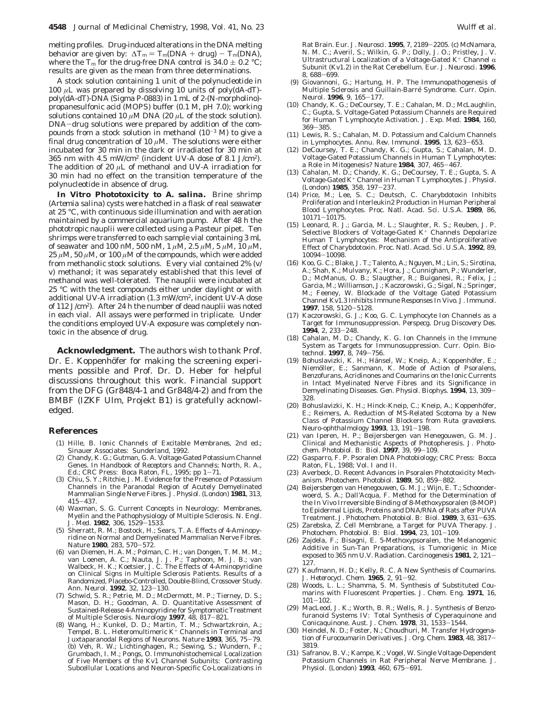melting profiles. Drug-induced alterations in the DNA melting behavior are given by:  $\Delta T_m = T_m(DNA + drug) - T_m(DNA)$ , where the  $T_{\rm m}$  for the drug-free DNA control is  $34.0 \pm 0.2$  °C; results are given as the mean from three determinations.

A stock solution containing 1 unit of the polynucleotide in 100 *µ*L was prepared by dissolving 10 units of poly(dA-dT) poly(dA-dT)-DNA (Sigma P-0883) in 1 mL of 2-(*N*-morpholino) propanesulfonic acid (MOPS) buffer (0.1 M, pH 7.0); working solutions contained 10  $\mu$ M DNA (20  $\mu$ L of the stock solution). DNA-drug solutions were prepared by addition of the compounds from a stock solution in methanol  $(10^{-3}$  M) to give a final drug concentration of 10 *µ*M. The solutions were either incubated for 30 min in the dark or irradiated for 30 min at 365 nm with 4.5 mW/cm2 (incident UV-A dose of 8.1 J/cm2). The addition of 20 *µ*L of methanol and UV-A irradiation for 30 min had no effect on the transition temperature of the polynucleotide in absence of drug.

**In Vitro Phototoxicity to** *A. salina***.** Brine shrimp (*Artemia salina*) cysts were hatched in a flask of real seawater at 25 °C, with continuous side illumination and with aeration maintained by a commercial aquarium pump. After 48 h the phototropic nauplii were collected using a Pasteur pipet. Ten shrimps were transferred to each sample vial containing 3 mL of seawater and 100 nM, 500 nM, 1 *µ*M, 2.5 *µ*M, 5 *µ*M, 10 *µ*M,  $25 \mu$ M,  $50 \mu$ M, or  $100 \mu$ M of the compounds, which were added from methanolic stock solutions. Every vial contained 2% (v/ v) methanol; it was separately established that this level of methanol was well-tolerated. The nauplii were incubated at 25 °C with the test compounds either under daylight or with additional UV-A irradiation (1.3 mW/cm2, incident UV-A dose of 112 J/cm<sup>2</sup>). After 24 h the number of dead nauplii was noted in each vial. All assays were performed in triplicate. Under the conditions employed UV-A exposure was completely nontoxic in the absence of drug.

**Acknowledgment.** The authors wish to thank Prof. Dr. E. Koppenhöfer for making the screening experiments possible and Prof. Dr. D. Heber for helpful discussions throughout this work. Financial support from the DFG (Gr848/4-1 and Gr848/4-2) and from the BMBF (IZKF Ulm, Projekt B1) is gratefully acknowledged.

#### **References**

- (1) Hille, B. *Ionic Channels of Excitable Membranes,* 2nd ed.; Sinauer Associates: Sunderland, 1992.
- (2) Chandy, K. G.; Gutman, G. A. Voltage-Gated Potassium Channel Genes. In *Handbook of Receptors and Channels*; North, R. A., Ed.; CRC Press: Boca Raton, FL, 1995; pp 1-71.
- (3) Chiu, S. Y.; Ritchie, J. M. Evidence for the Presence of Potassium Channels in the Paranodal Region of Acutely Demyelinated Mammalian Single Nerve Fibres. *J. Physiol. (London)* **1981**, *313*, <sup>415</sup>-437.
- (4) Waxman, S. G. Current Concepts in Neurology: Membranes, Myelin and the Pathophysiology of Multiple Sclerosis. *N. Engl. J. Med.* **<sup>1982</sup>**, *<sup>306</sup>*, 1529-1533.
- (5) Sherratt, R. M.; Bostock, H.; Sears, T. A. Effects of 4-Aminopyridine on Normal and Demyelinated Mammalian Nerve Fibres. *Nature* **<sup>1980</sup>**, *<sup>283</sup>*, 570-572.
- (6) van Diemen, H. A. M.; Polman, C. H.; van Dongen, T. M. M. M.; van Loenen, A. C.; Nauta, J. J. P.; Taphoon, M. J. B.; van Walbeck, H. K.; Koetsier, J. C. The Effects of 4-Aminopyridine on Clinical Signs in Multiple Sclerosis Patients. Results of a Randomized, Placebo-Controlled, Double-Blind, Crossover Study.<br>Ann. Neurol. 1992, 32, 123-130. *Ann. Neurol.* **<sup>1992</sup>**, *<sup>32</sup>*, 123-130. (7) Schwid, S. R.; Petrie, M. D.; McDermott, M. P.; Tierney, D. S.;
- Mason, D. H.; Goodman, A. D. Quantitative Assessment of Sustained-Release 4-Aminopyridine for Symptomatic Treatment<br>of Multiple Sclerosis. Neurology 1997, 48, 817–821. of Multiple Sclerosis. *Neurology* **<sup>1997</sup>**, *<sup>48</sup>*, 817-821. (8) Wang, H.; Kunkel, D. D.; Martin, T. M.; Schwartzkroin, A.;
- Tempel, B. L. Heteromultimeric K<sup>+</sup> Channels in Terminal and Juxtaparanodal Regions of Neurons. *Nature* **<sup>1993</sup>**, *<sup>365</sup>*, 75-79. (b) Veh, R. W.; Lichtinghagen, R.; Sewing, S.; Wundern, F.; Grumbach, I. M.; Pongs, O. Immunohistochemical Localization of Five Members of the Kv1 Channel Subunits: Contrasting Subcellular Locations and Neuron-Specific Co-Localizations in

Rat Brain. *Eur. J. Neurosci*. **<sup>1995</sup>**, *<sup>7</sup>*, 2189-2205. (c) McNamara, N. M. C.; Averil, S.; Wilkin, G. P.; Dolly, J. O.; Pristley, J. V. Ultrastructural Localization of a Voltage-Gated K<sup>+</sup> Channel  $\alpha$ Subunit (Kv1.2) in the Rat Cerebellum. *Eur. J. Neurosci.* **1996**,

- *<sup>8</sup>*, 688-699. (9) Giovannoni, G.; Hartung, H. P. The Immunopathogenesis of Multiple Sclerosis and Guillain-Barre´ Syndrome. *Curr. Opin. Neurol.* **<sup>1996</sup>**, *<sup>9</sup>*, 165-177.
- (10) Chandy, K. G.; DeCoursey, T. E.; Cahalan, M. D.; McLaughlin, C.; Gupta, S. Voltage-Gated Potassium Channels are Required for Human T Lymphocyte Activation. *J. Exp. Med.* **1984**, *160*,
- <sup>369</sup>-385. (11) Lewis, R. S.; Cahalan, M. D. Potassium and Calcium Channels in Lymphocytes. *Annu. Rev. Immunol.* **<sup>1995</sup>**, *<sup>13</sup>*, 623-653.
- (12) DeCoursey, T. E.; Chandy, K. G.; Gupta, S.; Cahalan, M. D. Voltage-Gated Potassium Channels in Human T Lymphocytes: a Role in Mitogenesis? *Nature* **<sup>1984</sup>**, *<sup>307</sup>*, 465-467.
- (13) Cahalan, M. D.; Chandy, K. G.; DeCoursey, T. E.; Gupta, S. A Voltage-Gated K<sup>+</sup> Channel in Human T Lymphocytes. *J. Physiol.*
- *(London)* **<sup>1985</sup>**, *<sup>358</sup>*, 197-237. (14) Price, M.; Lee, S. C.; Deutsch, C. Charybdotoxin Inhibits Proliferation and Interleukin2 Production in Human Peripheral Blood Lymphocytes. *Proc. Natl. Acad. Sci. U.S.A.* **1989**, *86*, <sup>10171</sup>-10175.
- (15) Leonard, R. J.; Garcia, M. L.; Slaughter, R. S.; Reuben, J. P. Selective Blockers of Voltage-Gated K<sup>+</sup> Channels Depolarize Human T Lymphocytes: Mechanism of the Antiproliferative Effect of Charybdotoxin. *Proc. Natl. Acad. Sci. U.S.A.* **1992**, *89*, <sup>10094</sup>-10098.
- (16) Koo, G. C.; Blake, J. T.; Talento, A.; Nguyen, M.; Lin, S.; Sirotina, A.; Shah, K.; Mulvany, K.; Hora, J.; Cunnigham, P.; Wunderler, D.; McManus, O. B.; Slaugther, R.; Buiganesi, R.; Felix, J.; Garcia, M.; Williamson, J.; Kaczorowski, G.; Sigal, N.; Springer, M.; Feeney, W. Blockade of the Voltage Gated Potassium Channel Kv1.3 Inhibits Immune Responses In Vivo. *J. Immunol*. **<sup>1997</sup>**, *<sup>158</sup>*, 5120-5128.
- (17) Kaczorowski, G. J.; Koo, G. C. Lymphocyte Ion Channels as a Target for Immunosuppression. *Perspecg. Drug Discovery Des.* **<sup>1994</sup>**, *<sup>2</sup>*, 233-248.
- (18) Cahalan, M. D.; Chandy, K. G. Ion Channels in the Immune System as Targets for Immunosuppression. *Curr. Opin. Biotechnol.* **<sup>1997</sup>**, *<sup>8</sup>*, 749-756.
- (19) Bohuslavizki, K. H.; Hänsel, W.; Kneip, A.; Koppenhöfer, E.; Niemöller, E.; Sanmann, K. Mode of Action of Psoralens, Benzofurans, Acridinones and Coumarins on the Ionic Currents in Intact Myelinated Nerve Fibres and its Significance in Demyelinating Diseases. *Gen. Physiol. Biophys*. **<sup>1994</sup>**, *<sup>13</sup>*, 309- 328.
- (20) Bohuslavizki, K. H.; Hinck-Kneip, C.; Kneip, A.; Koppenhöfer, E.; Reimers, A. Reduction of MS-Related Scotoma by a New Class of Potassium Channel Blockers from *Ruta graveolens*. *Neuro-ophthalmology* **<sup>1993</sup>**, *<sup>13</sup>*, 191-198.
- (21) van Iperen, H. P.; Beijersbergen van Henegouwen, G. M. J. Clinical and Mechanistic Aspects of Photopheresis. *J. Photochem. Photobiol. B: Biol.* **<sup>1997</sup>**, *<sup>39</sup>*, 99-109.
- (22) Gasparro, F. P. *Psoralen DNA Photobiology*; CRC Press: Bocca Raton, FL, 1988; Vol. I and II.
- (23) Averbeck, D. Recent Advances in Psoralen Phototoxicity Mechanism. *Photochem. Photobiol.* **<sup>1989</sup>**, *<sup>50</sup>*, 859-882.
- (24) Beijersbergen van Henegouwen, G. M. J.; Wijn, E. T.; Schoonderwoerd, S. A.; Dall'Acqua, F. Method for the Determination of the In Vivo Irreversible Binding of 8-Methoxypsoralen (8-MOP) to Epidermal Lipids, Proteins and DNA/RNA of Rats after PUVA Treatment. *J. Photochem. Photobiol. B: Biol.* **<sup>1989</sup>**, *<sup>3</sup>*, 631-635.
- (25) Zarebska, Z. Cell Membrane, a Target for PUVA Therapy. *J. Photochem. Photobiol. B: Biol*. **<sup>1994</sup>**, *<sup>23</sup>*, 101-109.
- (26) Zajdela, F.; Bisagni, E. 5-Methoxypsoralen, the Melanogenic Additive in Sun-Tan Preparations, is Tumorigenic in Mice exposed to 365 nm U.V. Radiation. *Carcinogenesis* **<sup>1981</sup>**, *<sup>2</sup>*, 121- 127.
- (27) Kaufmann, H. D.; Kelly, R. C. A New Synthesis of Coumarins. *J. Heterocycl. Chem*. **<sup>1965</sup>**, *<sup>2</sup>*, 91-92.
- (28) Woods, L. L.; Shamma, S. M. Synthesis of Substituted Coumarins with Fluorescent Properties. *J. Chem. Eng.* **1971**, *16*,  $101 - 102$ .
- (29) MacLeod, J. K.; Worth, B. R.; Wells, R. J. Synthesis of Benzofuranoid Systems IV: Total Synthesis of Cyperaquinone and Conicaquinone. *Aust. J. Chem.* **<sup>1978</sup>**, *<sup>31</sup>*, 1533-1544.
- (30) Heindel, N. D.; Foster, N.; Choudhuri, M. Transfer Hydrogenation of Furocoumarin Derivatives. *J. Org. Chem.* **<sup>1983</sup>**, *<sup>48</sup>*, 3817- 3819.
- (31) Safranov, B. V.; Kampe, K.; Vogel, W. Single Voltage-Dependent Potassium Channels in Rat Peripheral Nerve Membrane. *J. Physiol. (London)* **<sup>1993</sup>**, *<sup>460</sup>*, 675-691.